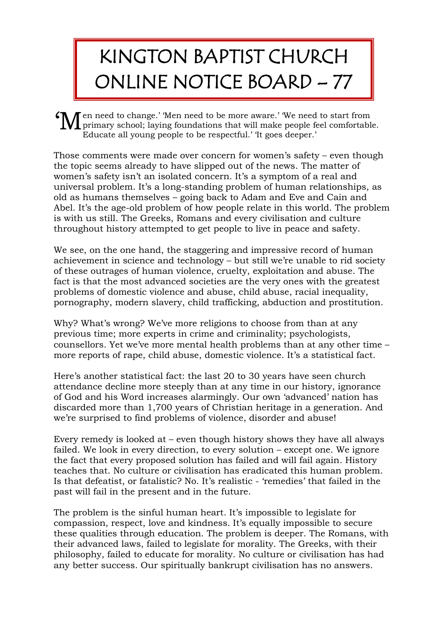## KINGTON BAPTIST CHURCH ONLINE NOTICE BOARD – 77

en need to change.' 'Men need to be more aware.' 'We need to start from If  $\mathbf{M}$  en need to change.' 'Men need to be more aware.' We need to start from<br>primary school; laying foundations that will make people feel comfortable. Educate all young people to be respectful.' 'It goes deeper.'

Those comments were made over concern for women's safety – even though the topic seems already to have slipped out of the news. The matter of women's safety isn't an isolated concern. It's a symptom of a real and universal problem. It's a long-standing problem of human relationships, as old as humans themselves – going back to Adam and Eve and Cain and Abel. It's the age-old problem of how people relate in this world. The problem is with us still. The Greeks, Romans and every civilisation and culture throughout history attempted to get people to live in peace and safety.

We see, on the one hand, the staggering and impressive record of human achievement in science and technology – but still we're unable to rid society of these outrages of human violence, cruelty, exploitation and abuse. The fact is that the most advanced societies are the very ones with the greatest problems of domestic violence and abuse, child abuse, racial inequality, pornography, modern slavery, child trafficking, abduction and prostitution.

Why? What's wrong? We've more religions to choose from than at any previous time; more experts in crime and criminality; psychologists, counsellors. Yet we've more mental health problems than at any other time – more reports of rape, child abuse, domestic violence. It's a statistical fact.

Here's another statistical fact: the last 20 to 30 years have seen church attendance decline more steeply than at any time in our history, ignorance of God and his Word increases alarmingly. Our own 'advanced' nation has discarded more than 1,700 years of Christian heritage in a generation. And we're surprised to find problems of violence, disorder and abuse!

Every remedy is looked at – even though history shows they have all always failed. We look in every direction, to every solution – except one. We ignore the fact that every proposed solution has failed and will fail again. History teaches that. No culture or civilisation has eradicated this human problem. Is that defeatist, or fatalistic? No. It's realistic - 'remedies' that failed in the past will fail in the present and in the future.

The problem is the sinful human heart. It's impossible to legislate for compassion, respect, love and kindness. It's equally impossible to secure these qualities through education. The problem is deeper. The Romans, with their advanced laws, failed to legislate for morality. The Greeks, with their philosophy, failed to educate for morality. No culture or civilisation has had any better success. Our spiritually bankrupt civilisation has no answers.